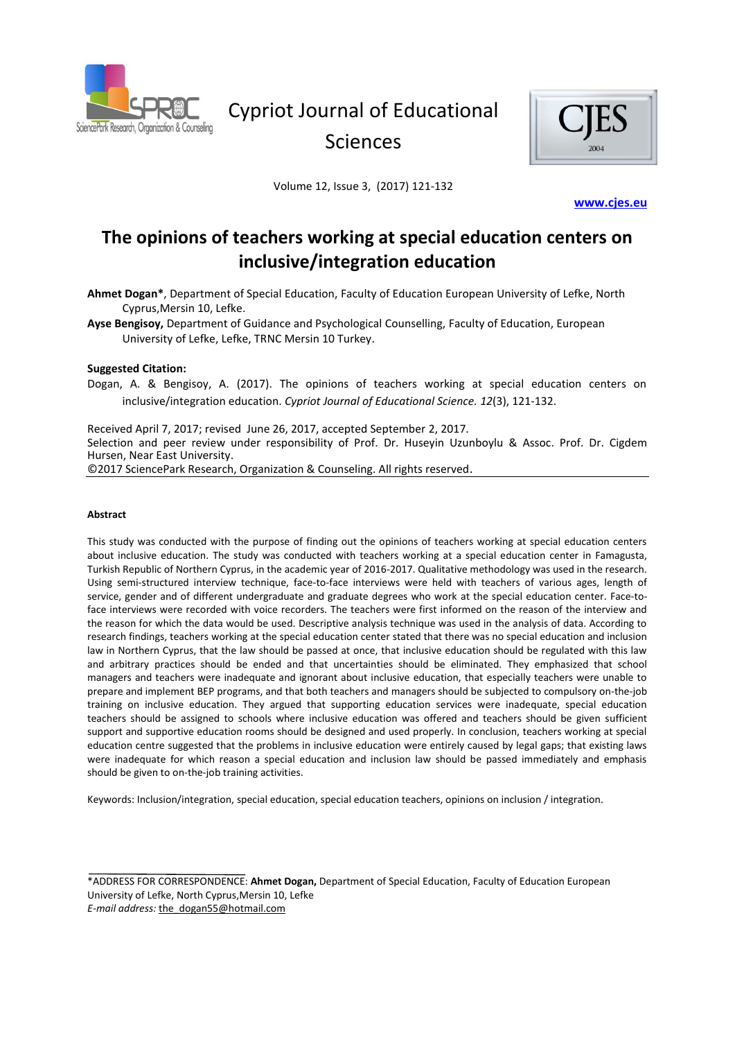

# Cypriot Journal of Educational Sciences



Volume 12, Issue 3, (2017) 121-132

**[www.cjes.eu](http://sproc.org/ojs/index.php/cjes/www.cjes.eu)** 

# **The opinions of teachers working at special education centers on inclusive/integration education**

**Ahmet Dogan\***, Department of Special Education, Faculty of Education European University of Lefke, North Cyprus,Mersin 10, Lefke.

**Ayse Bengisoy,** Department of Guidance and Psychological Counselling, Faculty of Education, European University of Lefke, Lefke, TRNC Mersin 10 Turkey.

#### **Suggested Citation:**

Dogan, A. & Bengisoy, A. (2017). The opinions of teachers working at special education centers on inclusive/integration education. *Cypriot Journal of Educational Science. 12*(3), 121-132.

Received April 7, 2017; revised June 26, 2017, accepted September 2, 2017. Selection and peer review under responsibility of Prof. Dr. Huseyin Uzunboylu & Assoc. Prof. Dr. Cigdem Hursen, Near East University. ©2017 SciencePark Research, Organization & Counseling. All rights reserved.

#### **Abstract**

This study was conducted with the purpose of finding out the opinions of teachers working at special education centers about inclusive education. The study was conducted with teachers working at a special education center in Famagusta, Turkish Republic of Northern Cyprus, in the academic year of 2016-2017. Qualitative methodology was used in the research. Using semi-structured interview technique, face-to-face interviews were held with teachers of various ages, length of service, gender and of different undergraduate and graduate degrees who work at the special education center. Face-toface interviews were recorded with voice recorders. The teachers were first informed on the reason of the interview and the reason for which the data would be used. Descriptive analysis technique was used in the analysis of data. According to research findings, teachers working at the special education center stated that there was no special education and inclusion law in Northern Cyprus, that the law should be passed at once, that inclusive education should be regulated with this law and arbitrary practices should be ended and that uncertainties should be eliminated. They emphasized that school managers and teachers were inadequate and ignorant about inclusive education, that especially teachers were unable to prepare and implement BEP programs, and that both teachers and managers should be subjected to compulsory on-the-job training on inclusive education. They argued that supporting education services were inadequate, special education teachers should be assigned to schools where inclusive education was offered and teachers should be given sufficient support and supportive education rooms should be designed and used properly. In conclusion, teachers working at special education centre suggested that the problems in inclusive education were entirely caused by legal gaps; that existing laws were inadequate for which reason a special education and inclusion law should be passed immediately and emphasis should be given to on-the-job training activities.

Keywords: Inclusion/integration, special education, special education teachers, opinions on inclusion / integration.

\*ADDRESS FOR CORRESPONDENCE: **Ahmet Dogan,** Department of Special Education, Faculty of Education European University of Lefke, North Cyprus,Mersin 10, Lefke *E-mail address:* the\_dogan55@hotmail.com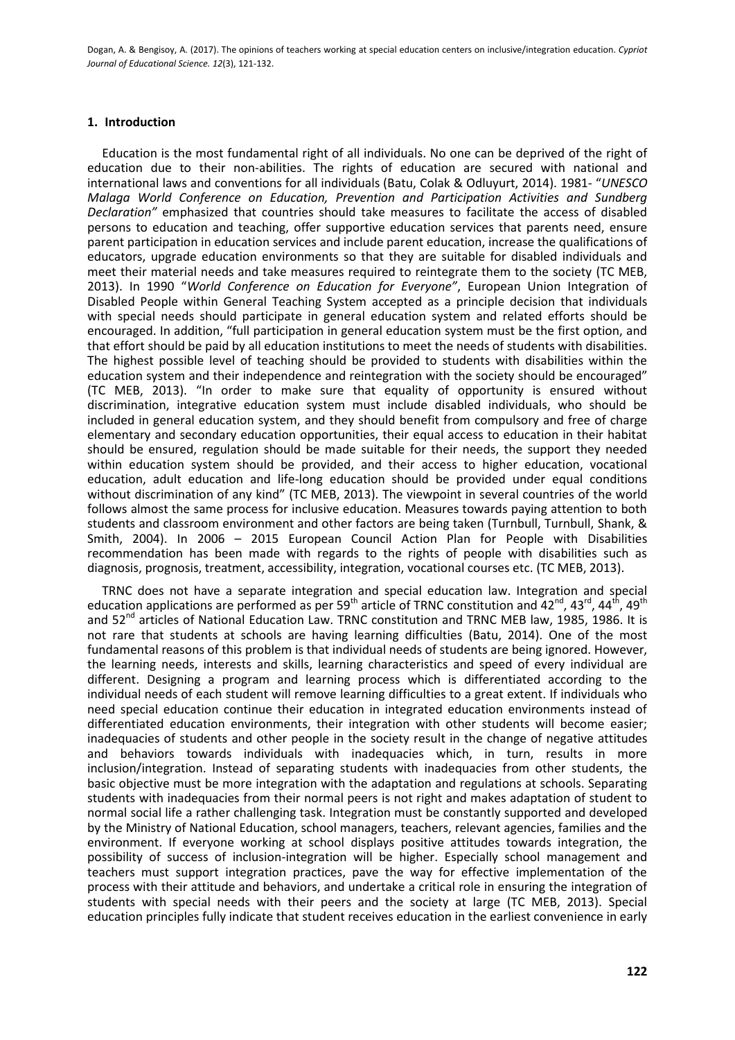## **1. Introduction**

Education is the most fundamental right of all individuals. No one can be deprived of the right of education due to their non-abilities. The rights of education are secured with national and international laws and conventions for all individuals (Batu, Colak & Odluyurt, 2014). 1981- "*UNESCO Malaga World Conference on Education, Prevention and Participation Activities and Sundberg Declaration"* emphasized that countries should take measures to facilitate the access of disabled persons to education and teaching, offer supportive education services that parents need, ensure parent participation in education services and include parent education, increase the qualifications of educators, upgrade education environments so that they are suitable for disabled individuals and meet their material needs and take measures required to reintegrate them to the society (TC MEB, 2013). In 1990 "*World Conference on Education for Everyone"*, European Union Integration of Disabled People within General Teaching System accepted as a principle decision that individuals with special needs should participate in general education system and related efforts should be encouraged. In addition, "full participation in general education system must be the first option, and that effort should be paid by all education institutions to meet the needs of students with disabilities. The highest possible level of teaching should be provided to students with disabilities within the education system and their independence and reintegration with the society should be encouraged" (TC MEB, 2013). "In order to make sure that equality of opportunity is ensured without discrimination, integrative education system must include disabled individuals, who should be included in general education system, and they should benefit from compulsory and free of charge elementary and secondary education opportunities, their equal access to education in their habitat should be ensured, regulation should be made suitable for their needs, the support they needed within education system should be provided, and their access to higher education, vocational education, adult education and life-long education should be provided under equal conditions without discrimination of any kind" (TC MEB, 2013). The viewpoint in several countries of the world follows almost the same process for inclusive education. Measures towards paying attention to both students and classroom environment and other factors are being taken (Turnbull, Turnbull, Shank, & Smith, 2004). In 2006 – 2015 European Council Action Plan for People with Disabilities recommendation has been made with regards to the rights of people with disabilities such as diagnosis, prognosis, treatment, accessibility, integration, vocational courses etc. (TC MEB, 2013).

TRNC does not have a separate integration and special education law. Integration and special education applications are performed as per 59<sup>th</sup> article of TRNC constitution and  $42^{nd}$ ,  $43^{rd}$ ,  $44^{th}$ ,  $49^{th}$ and 52<sup>nd</sup> articles of National Education Law. TRNC constitution and TRNC MEB law, 1985, 1986. It is not rare that students at schools are having learning difficulties (Batu, 2014). One of the most fundamental reasons of this problem is that individual needs of students are being ignored. However, the learning needs, interests and skills, learning characteristics and speed of every individual are different. Designing a program and learning process which is differentiated according to the individual needs of each student will remove learning difficulties to a great extent. If individuals who need special education continue their education in integrated education environments instead of differentiated education environments, their integration with other students will become easier; inadequacies of students and other people in the society result in the change of negative attitudes and behaviors towards individuals with inadequacies which, in turn, results in more inclusion/integration. Instead of separating students with inadequacies from other students, the basic objective must be more integration with the adaptation and regulations at schools. Separating students with inadequacies from their normal peers is not right and makes adaptation of student to normal social life a rather challenging task. Integration must be constantly supported and developed by the Ministry of National Education, school managers, teachers, relevant agencies, families and the environment. If everyone working at school displays positive attitudes towards integration, the possibility of success of inclusion-integration will be higher. Especially school management and teachers must support integration practices, pave the way for effective implementation of the process with their attitude and behaviors, and undertake a critical role in ensuring the integration of students with special needs with their peers and the society at large (TC MEB, 2013). Special education principles fully indicate that student receives education in the earliest convenience in early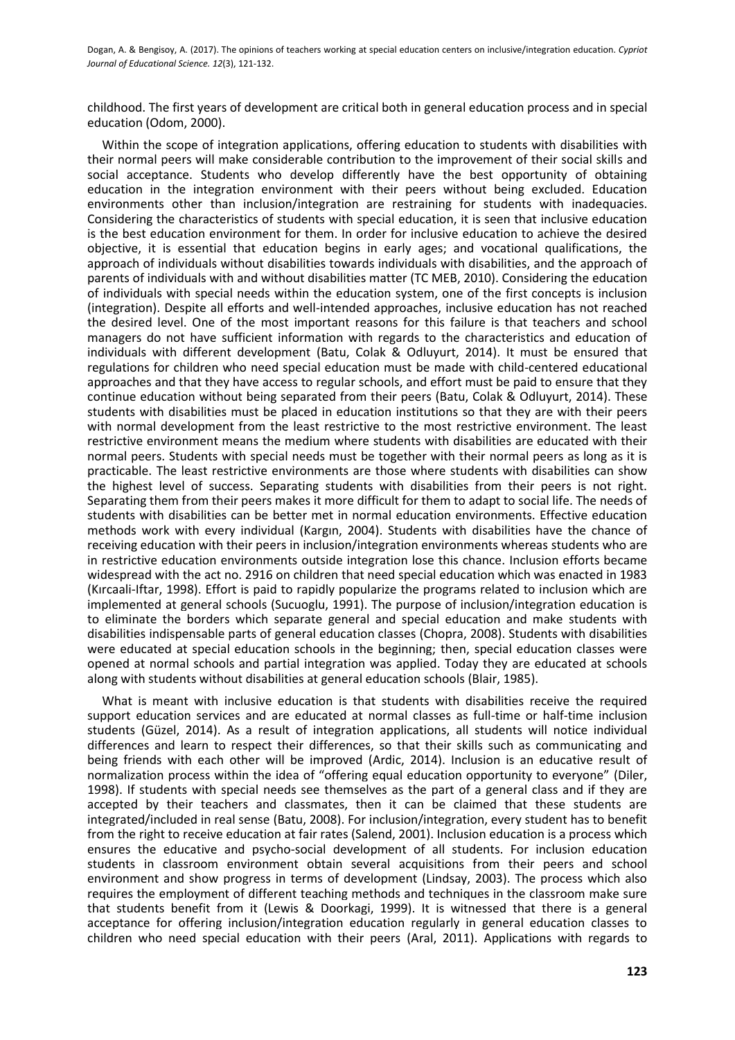childhood. The first years of development are critical both in general education process and in special education (Odom, 2000).

Within the scope of integration applications, offering education to students with disabilities with their normal peers will make considerable contribution to the improvement of their social skills and social acceptance. Students who develop differently have the best opportunity of obtaining education in the integration environment with their peers without being excluded. Education environments other than inclusion/integration are restraining for students with inadequacies. Considering the characteristics of students with special education, it is seen that inclusive education is the best education environment for them. In order for inclusive education to achieve the desired objective, it is essential that education begins in early ages; and vocational qualifications, the approach of individuals without disabilities towards individuals with disabilities, and the approach of parents of individuals with and without disabilities matter (TC MEB, 2010). Considering the education of individuals with special needs within the education system, one of the first concepts is inclusion (integration). Despite all efforts and well-intended approaches, inclusive education has not reached the desired level. One of the most important reasons for this failure is that teachers and school managers do not have sufficient information with regards to the characteristics and education of individuals with different development (Batu, Colak & Odluyurt, 2014). It must be ensured that regulations for children who need special education must be made with child-centered educational approaches and that they have access to regular schools, and effort must be paid to ensure that they continue education without being separated from their peers (Batu, Colak & Odluyurt, 2014). These students with disabilities must be placed in education institutions so that they are with their peers with normal development from the least restrictive to the most restrictive environment. The least restrictive environment means the medium where students with disabilities are educated with their normal peers. Students with special needs must be together with their normal peers as long as it is practicable. The least restrictive environments are those where students with disabilities can show the highest level of success. Separating students with disabilities from their peers is not right. Separating them from their peers makes it more difficult for them to adapt to social life. The needs of students with disabilities can be better met in normal education environments. Effective education methods work with every individual (Kargın, 2004). Students with disabilities have the chance of receiving education with their peers in inclusion/integration environments whereas students who are in restrictive education environments outside integration lose this chance. Inclusion efforts became widespread with the act no. 2916 on children that need special education which was enacted in 1983 (Kırcaali-Iftar, 1998). Effort is paid to rapidly popularize the programs related to inclusion which are implemented at general schools (Sucuoglu, 1991). The purpose of inclusion/integration education is to eliminate the borders which separate general and special education and make students with disabilities indispensable parts of general education classes (Chopra, 2008). Students with disabilities were educated at special education schools in the beginning; then, special education classes were opened at normal schools and partial integration was applied. Today they are educated at schools along with students without disabilities at general education schools (Blair, 1985).

What is meant with inclusive education is that students with disabilities receive the required support education services and are educated at normal classes as full-time or half-time inclusion students (Güzel, 2014). As a result of integration applications, all students will notice individual differences and learn to respect their differences, so that their skills such as communicating and being friends with each other will be improved (Ardic, 2014). Inclusion is an educative result of normalization process within the idea of "offering equal education opportunity to everyone" (Diler, 1998). If students with special needs see themselves as the part of a general class and if they are accepted by their teachers and classmates, then it can be claimed that these students are integrated/included in real sense (Batu, 2008). For inclusion/integration, every student has to benefit from the right to receive education at fair rates (Salend, 2001). Inclusion education is a process which ensures the educative and psycho-social development of all students. For inclusion education students in classroom environment obtain several acquisitions from their peers and school environment and show progress in terms of development (Lindsay, 2003). The process which also requires the employment of different teaching methods and techniques in the classroom make sure that students benefit from it (Lewis & Doorkagi, 1999). It is witnessed that there is a general acceptance for offering inclusion/integration education regularly in general education classes to children who need special education with their peers (Aral, 2011). Applications with regards to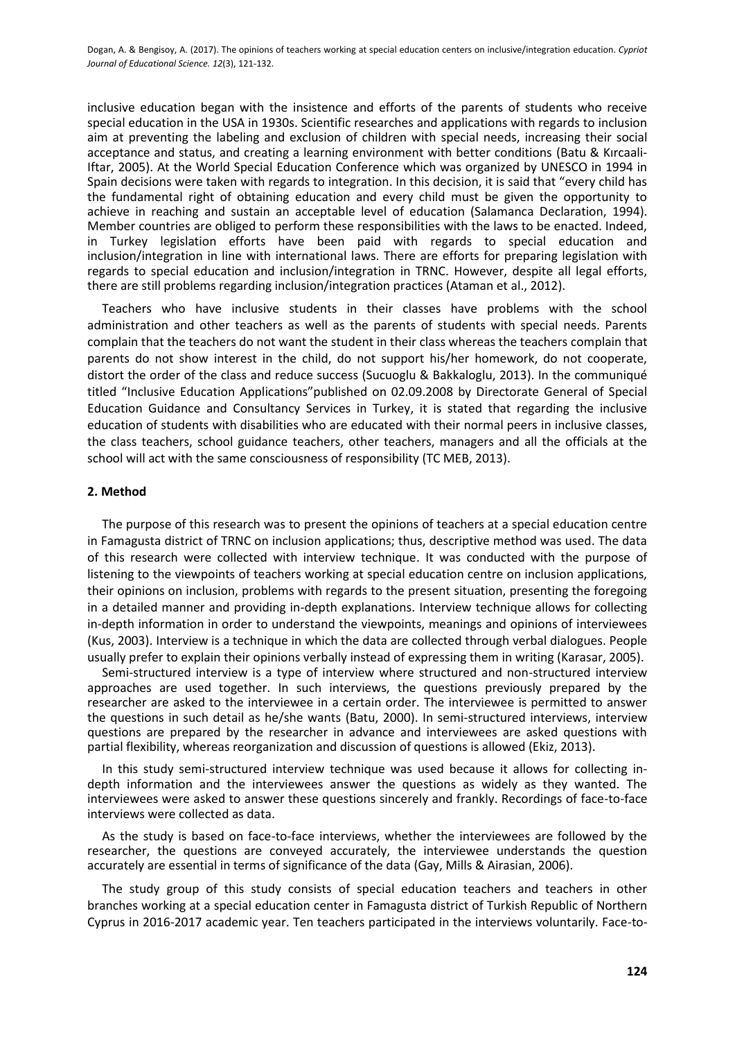inclusive education began with the insistence and efforts of the parents of students who receive special education in the USA in 1930s. Scientific researches and applications with regards to inclusion aim at preventing the labeling and exclusion of children with special needs, increasing their social acceptance and status, and creating a learning environment with better conditions (Batu & Kırcaali-Iftar, 2005). At the World Special Education Conference which was organized by UNESCO in 1994 in Spain decisions were taken with regards to integration. In this decision, it is said that "every child has the fundamental right of obtaining education and every child must be given the opportunity to achieve in reaching and sustain an acceptable level of education (Salamanca Declaration, 1994). Member countries are obliged to perform these responsibilities with the laws to be enacted. Indeed, in Turkey legislation efforts have been paid with regards to special education and inclusion/integration in line with international laws. There are efforts for preparing legislation with regards to special education and inclusion/integration in TRNC. However, despite all legal efforts, there are still problems regarding inclusion/integration practices (Ataman et al., 2012).

Teachers who have inclusive students in their classes have problems with the school administration and other teachers as well as the parents of students with special needs. Parents complain that the teachers do not want the student in their class whereas the teachers complain that parents do not show interest in the child, do not support his/her homework, do not cooperate, distort the order of the class and reduce success (Sucuoglu & Bakkaloglu, 2013). In the communiqué titled "Inclusive Education Applications"published on 02.09.2008 by Directorate General of Special Education Guidance and Consultancy Services in Turkey, it is stated that regarding the inclusive education of students with disabilities who are educated with their normal peers in inclusive classes, the class teachers, school guidance teachers, other teachers, managers and all the officials at the school will act with the same consciousness of responsibility (TC MEB, 2013).

#### **2. Method**

The purpose of this research was to present the opinions of teachers at a special education centre in Famagusta district of TRNC on inclusion applications; thus, descriptive method was used. The data of this research were collected with interview technique. It was conducted with the purpose of listening to the viewpoints of teachers working at special education centre on inclusion applications, their opinions on inclusion, problems with regards to the present situation, presenting the foregoing in a detailed manner and providing in-depth explanations. Interview technique allows for collecting in-depth information in order to understand the viewpoints, meanings and opinions of interviewees (Kus, 2003). Interview is a technique in which the data are collected through verbal dialogues. People usually prefer to explain their opinions verbally instead of expressing them in writing (Karasar, 2005).

Semi-structured interview is a type of interview where structured and non-structured interview approaches are used together. In such interviews, the questions previously prepared by the researcher are asked to the interviewee in a certain order. The interviewee is permitted to answer the questions in such detail as he/she wants (Batu, 2000). In semi-structured interviews, interview questions are prepared by the researcher in advance and interviewees are asked questions with partial flexibility, whereas reorganization and discussion of questions is allowed (Ekiz, 2013).

In this study semi-structured interview technique was used because it allows for collecting indepth information and the interviewees answer the questions as widely as they wanted. The interviewees were asked to answer these questions sincerely and frankly. Recordings of face-to-face interviews were collected as data.

As the study is based on face-to-face interviews, whether the interviewees are followed by the researcher, the questions are conveyed accurately, the interviewee understands the question accurately are essential in terms of significance of the data (Gay, Mills & Airasian, 2006).

The study group of this study consists of special education teachers and teachers in other branches working at a special education center in Famagusta district of Turkish Republic of Northern Cyprus in 2016-2017 academic year. Ten teachers participated in the interviews voluntarily. Face-to-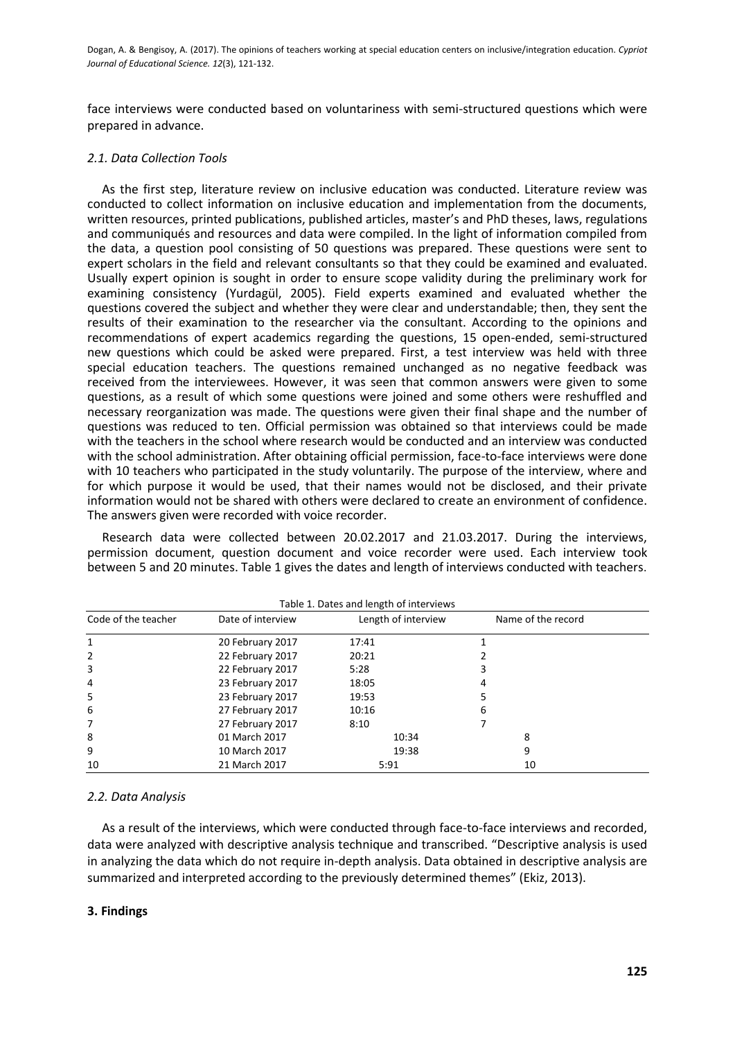face interviews were conducted based on voluntariness with semi-structured questions which were prepared in advance.

## *2.1. Data Collection Tools*

As the first step, literature review on inclusive education was conducted. Literature review was conducted to collect information on inclusive education and implementation from the documents, written resources, printed publications, published articles, master's and PhD theses, laws, regulations and communiqués and resources and data were compiled. In the light of information compiled from the data, a question pool consisting of 50 questions was prepared. These questions were sent to expert scholars in the field and relevant consultants so that they could be examined and evaluated. Usually expert opinion is sought in order to ensure scope validity during the preliminary work for examining consistency (Yurdagül, 2005). Field experts examined and evaluated whether the questions covered the subject and whether they were clear and understandable; then, they sent the results of their examination to the researcher via the consultant. According to the opinions and recommendations of expert academics regarding the questions, 15 open-ended, semi-structured new questions which could be asked were prepared. First, a test interview was held with three special education teachers. The questions remained unchanged as no negative feedback was received from the interviewees. However, it was seen that common answers were given to some questions, as a result of which some questions were joined and some others were reshuffled and necessary reorganization was made. The questions were given their final shape and the number of questions was reduced to ten. Official permission was obtained so that interviews could be made with the teachers in the school where research would be conducted and an interview was conducted with the school administration. After obtaining official permission, face-to-face interviews were done with 10 teachers who participated in the study voluntarily. The purpose of the interview, where and for which purpose it would be used, that their names would not be disclosed, and their private information would not be shared with others were declared to create an environment of confidence. The answers given were recorded with voice recorder.

Research data were collected between 20.02.2017 and 21.03.2017. During the interviews, permission document, question document and voice recorder were used. Each interview took between 5 and 20 minutes. Table 1 gives the dates and length of interviews conducted with teachers.

| Table 1. Dates and length of interviews |                   |                     |   |                    |  |  |
|-----------------------------------------|-------------------|---------------------|---|--------------------|--|--|
| Code of the teacher                     | Date of interview | Length of interview |   | Name of the record |  |  |
| 1                                       | 20 February 2017  | 17:41               |   |                    |  |  |
| 2                                       | 22 February 2017  | 20:21               |   |                    |  |  |
| 3                                       | 22 February 2017  | 5:28                |   |                    |  |  |
| 4                                       | 23 February 2017  | 18:05               | 4 |                    |  |  |
| 5                                       | 23 February 2017  | 19:53               |   |                    |  |  |
| 6                                       | 27 February 2017  | 10:16               | 6 |                    |  |  |
| 7                                       | 27 February 2017  | 8:10                |   |                    |  |  |
| 8                                       | 01 March 2017     | 10:34               |   | 8                  |  |  |
| 9                                       | 10 March 2017     | 19:38               |   | 9                  |  |  |
| 10                                      | 21 March 2017     | 5:91                |   | 10                 |  |  |

# *2.2. Data Analysis*

As a result of the interviews, which were conducted through face-to-face interviews and recorded, data were analyzed with descriptive analysis technique and transcribed. "Descriptive analysis is used in analyzing the data which do not require in-depth analysis. Data obtained in descriptive analysis are summarized and interpreted according to the previously determined themes" (Ekiz, 2013).

# **3. Findings**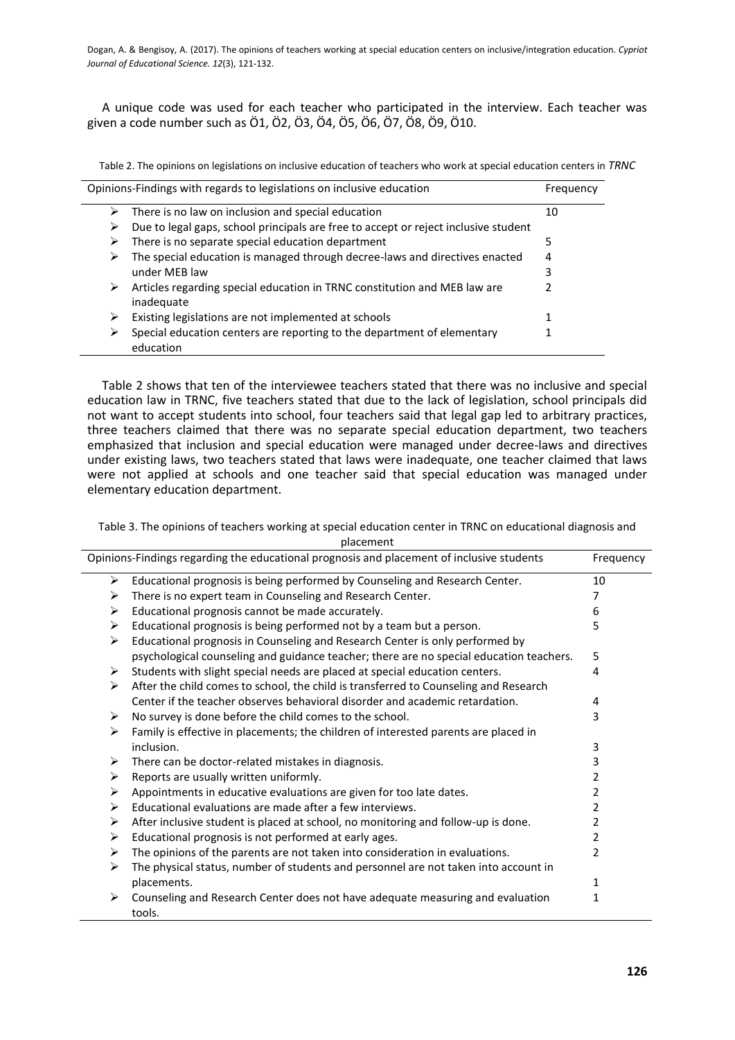A unique code was used for each teacher who participated in the interview. Each teacher was given a code number such as Ö1, Ö2, Ö3, Ö4, Ö5, Ö6, Ö7, Ö8, Ö9, Ö10.

Table 2. The opinions on legislations on inclusive education of teachers who work at special education centers in *TRNC*

| Opinions-Findings with regards to legislations on inclusive education |                                                                                         | Frequency |
|-----------------------------------------------------------------------|-----------------------------------------------------------------------------------------|-----------|
| ➤                                                                     | There is no law on inclusion and special education                                      | 10        |
| ⋗                                                                     | Due to legal gaps, school principals are free to accept or reject inclusive student     |           |
| ➤                                                                     | There is no separate special education department                                       | 5         |
| ⋗                                                                     | The special education is managed through decree-laws and directives enacted             | 4         |
|                                                                       | under MEB law                                                                           | 3         |
| ⋗                                                                     | Articles regarding special education in TRNC constitution and MEB law are<br>inadequate |           |
| ⋗                                                                     | Existing legislations are not implemented at schools                                    |           |
| ⋗                                                                     | Special education centers are reporting to the department of elementary<br>education    |           |

Table 2 shows that ten of the interviewee teachers stated that there was no inclusive and special education law in TRNC, five teachers stated that due to the lack of legislation, school principals did not want to accept students into school, four teachers said that legal gap led to arbitrary practices, three teachers claimed that there was no separate special education department, two teachers emphasized that inclusion and special education were managed under decree-laws and directives under existing laws, two teachers stated that laws were inadequate, one teacher claimed that laws were not applied at schools and one teacher said that special education was managed under elementary education department.

Table 3. The opinions of teachers working at special education center in TRNC on educational diagnosis and placement

| Opinions-Findings regarding the educational prognosis and placement of inclusive students |                                                                                          | Frequency |
|-------------------------------------------------------------------------------------------|------------------------------------------------------------------------------------------|-----------|
| ➤                                                                                         | Educational prognosis is being performed by Counseling and Research Center.              | 10        |
| ➤                                                                                         | There is no expert team in Counseling and Research Center.                               | 7         |
| ➤                                                                                         | Educational prognosis cannot be made accurately.                                         | 6         |
| ➤                                                                                         | Educational prognosis is being performed not by a team but a person.                     | 5         |
| ➤                                                                                         | Educational prognosis in Counseling and Research Center is only performed by             |           |
|                                                                                           | psychological counseling and guidance teacher; there are no special education teachers.  | 5         |
| ➤                                                                                         | Students with slight special needs are placed at special education centers.              | 4         |
| ≻                                                                                         | After the child comes to school, the child is transferred to Counseling and Research     |           |
|                                                                                           | Center if the teacher observes behavioral disorder and academic retardation.             | 4         |
| ➤                                                                                         | No survey is done before the child comes to the school.                                  | 3         |
| ≻                                                                                         | Family is effective in placements; the children of interested parents are placed in      |           |
|                                                                                           | inclusion.                                                                               | 3         |
| ➤                                                                                         | There can be doctor-related mistakes in diagnosis.                                       | 3         |
| ≻                                                                                         | Reports are usually written uniformly.                                                   | 2         |
| ➤                                                                                         | Appointments in educative evaluations are given for too late dates.                      | 2         |
| ≻                                                                                         | Educational evaluations are made after a few interviews.                                 | 2         |
| ➤                                                                                         | After inclusive student is placed at school, no monitoring and follow-up is done.        | 2         |
| ➤                                                                                         | Educational prognosis is not performed at early ages.                                    | 2         |
| ➤                                                                                         | The opinions of the parents are not taken into consideration in evaluations.             | 2         |
| ≻                                                                                         | The physical status, number of students and personnel are not taken into account in      |           |
|                                                                                           | placements.                                                                              | 1         |
| ≻                                                                                         | Counseling and Research Center does not have adequate measuring and evaluation<br>tools. | 1         |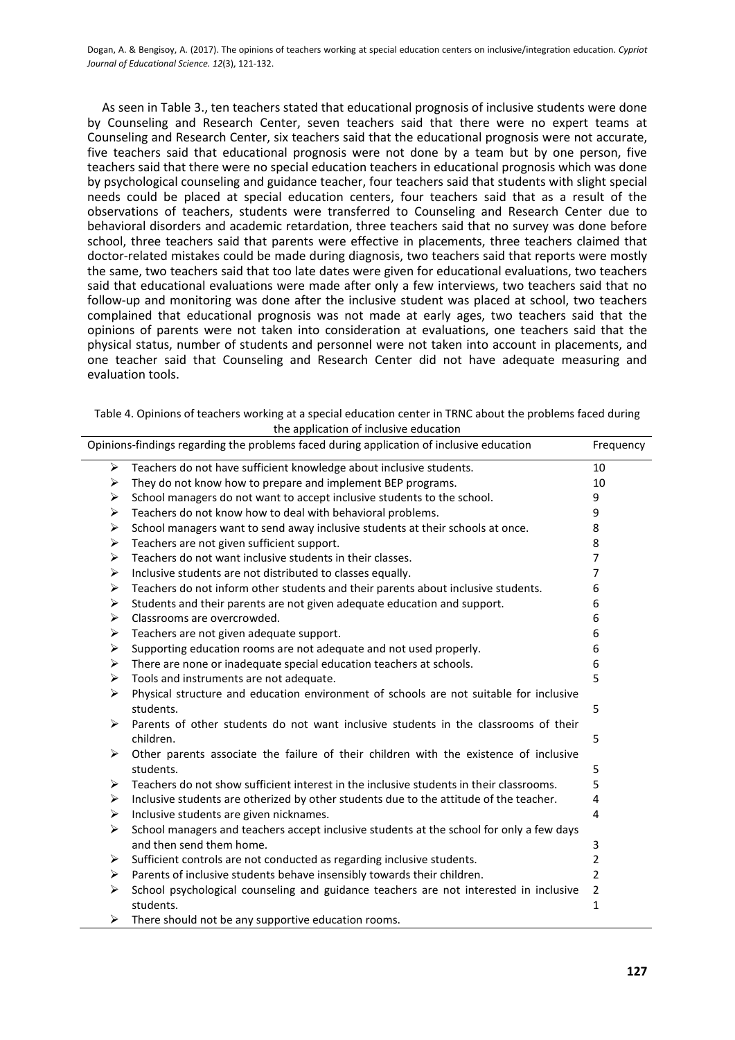As seen in Table 3., ten teachers stated that educational prognosis of inclusive students were done by Counseling and Research Center, seven teachers said that there were no expert teams at Counseling and Research Center, six teachers said that the educational prognosis were not accurate, five teachers said that educational prognosis were not done by a team but by one person, five teachers said that there were no special education teachers in educational prognosis which was done by psychological counseling and guidance teacher, four teachers said that students with slight special needs could be placed at special education centers, four teachers said that as a result of the observations of teachers, students were transferred to Counseling and Research Center due to behavioral disorders and academic retardation, three teachers said that no survey was done before school, three teachers said that parents were effective in placements, three teachers claimed that doctor-related mistakes could be made during diagnosis, two teachers said that reports were mostly the same, two teachers said that too late dates were given for educational evaluations, two teachers said that educational evaluations were made after only a few interviews, two teachers said that no follow-up and monitoring was done after the inclusive student was placed at school, two teachers complained that educational prognosis was not made at early ages, two teachers said that the opinions of parents were not taken into consideration at evaluations, one teachers said that the physical status, number of students and personnel were not taken into account in placements, and one teacher said that Counseling and Research Center did not have adequate measuring and evaluation tools.

| Table 4. Opinions of teachers working at a special education center in TRNC about the problems faced during |
|-------------------------------------------------------------------------------------------------------------|
| the application of inclusive education                                                                      |

| Opinions-findings regarding the problems faced during application of inclusive education |                                                                                          | Frequency      |
|------------------------------------------------------------------------------------------|------------------------------------------------------------------------------------------|----------------|
| ➤                                                                                        | Teachers do not have sufficient knowledge about inclusive students.                      | 10             |
| ➤                                                                                        | They do not know how to prepare and implement BEP programs.                              | 10             |
| ➤                                                                                        | School managers do not want to accept inclusive students to the school.                  | 9              |
| ➤                                                                                        | Teachers do not know how to deal with behavioral problems.                               | 9              |
| ➤                                                                                        | School managers want to send away inclusive students at their schools at once.           | 8              |
| ➤                                                                                        | Teachers are not given sufficient support.                                               | 8              |
| ➤                                                                                        | Teachers do not want inclusive students in their classes.                                | 7              |
| ➤                                                                                        | Inclusive students are not distributed to classes equally.                               | 7              |
| ➤                                                                                        | Teachers do not inform other students and their parents about inclusive students.        | 6              |
| ➤                                                                                        | Students and their parents are not given adequate education and support.                 | 6              |
| ➤                                                                                        | Classrooms are overcrowded.                                                              | 6              |
| ➤                                                                                        | Teachers are not given adequate support.                                                 | 6              |
| ➤                                                                                        | Supporting education rooms are not adequate and not used properly.                       | 6              |
| ➤                                                                                        | There are none or inadequate special education teachers at schools.                      | 6              |
| ➤                                                                                        | Tools and instruments are not adequate.                                                  | 5              |
| ➤                                                                                        | Physical structure and education environment of schools are not suitable for inclusive   |                |
|                                                                                          | students.                                                                                | 5              |
| ⋗                                                                                        | Parents of other students do not want inclusive students in the classrooms of their      |                |
|                                                                                          | children.                                                                                | 5              |
| ⋗                                                                                        | Other parents associate the failure of their children with the existence of inclusive    |                |
|                                                                                          | students.                                                                                | 5              |
| ➤                                                                                        | Teachers do not show sufficient interest in the inclusive students in their classrooms.  | 5              |
| ➤                                                                                        | Inclusive students are otherized by other students due to the attitude of the teacher.   | 4              |
| ➤                                                                                        | Inclusive students are given nicknames.                                                  | 4              |
| ➤                                                                                        | School managers and teachers accept inclusive students at the school for only a few days |                |
|                                                                                          | and then send them home.                                                                 | 3              |
| ➤                                                                                        | Sufficient controls are not conducted as regarding inclusive students.                   | $\overline{2}$ |
| ➤                                                                                        | Parents of inclusive students behave insensibly towards their children.                  | $\overline{2}$ |
| ↘                                                                                        | School psychological counseling and guidance teachers are not interested in inclusive    | $\overline{2}$ |
|                                                                                          | students.                                                                                | $\mathbf{1}$   |
| ➤                                                                                        | There should not be any supportive education rooms.                                      |                |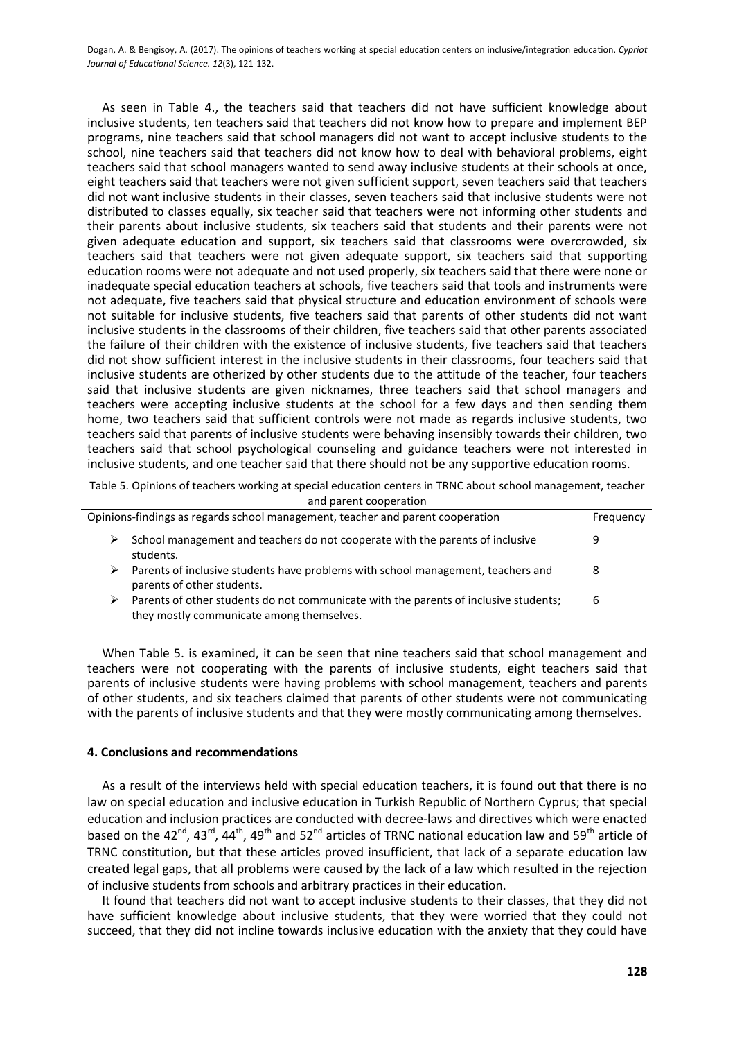As seen in Table 4., the teachers said that teachers did not have sufficient knowledge about inclusive students, ten teachers said that teachers did not know how to prepare and implement BEP programs, nine teachers said that school managers did not want to accept inclusive students to the school, nine teachers said that teachers did not know how to deal with behavioral problems, eight teachers said that school managers wanted to send away inclusive students at their schools at once, eight teachers said that teachers were not given sufficient support, seven teachers said that teachers did not want inclusive students in their classes, seven teachers said that inclusive students were not distributed to classes equally, six teacher said that teachers were not informing other students and their parents about inclusive students, six teachers said that students and their parents were not given adequate education and support, six teachers said that classrooms were overcrowded, six teachers said that teachers were not given adequate support, six teachers said that supporting education rooms were not adequate and not used properly, six teachers said that there were none or inadequate special education teachers at schools, five teachers said that tools and instruments were not adequate, five teachers said that physical structure and education environment of schools were not suitable for inclusive students, five teachers said that parents of other students did not want inclusive students in the classrooms of their children, five teachers said that other parents associated the failure of their children with the existence of inclusive students, five teachers said that teachers did not show sufficient interest in the inclusive students in their classrooms, four teachers said that inclusive students are otherized by other students due to the attitude of the teacher, four teachers said that inclusive students are given nicknames, three teachers said that school managers and teachers were accepting inclusive students at the school for a few days and then sending them home, two teachers said that sufficient controls were not made as regards inclusive students, two teachers said that parents of inclusive students were behaving insensibly towards their children, two teachers said that school psychological counseling and guidance teachers were not interested in inclusive students, and one teacher said that there should not be any supportive education rooms.

Table 5. Opinions of teachers working at special education centers in TRNC about school management, teacher and parent cooperation

| Opinions-findings as regards school management, teacher and parent cooperation |                                                                                                                                   | Frequency |
|--------------------------------------------------------------------------------|-----------------------------------------------------------------------------------------------------------------------------------|-----------|
|                                                                                | School management and teachers do not cooperate with the parents of inclusive<br>students.                                        |           |
| ⋗                                                                              | Parents of inclusive students have problems with school management, teachers and<br>parents of other students.                    | 8         |
| ⋗                                                                              | Parents of other students do not communicate with the parents of inclusive students;<br>they mostly communicate among themselves. | 6         |

When Table 5. is examined, it can be seen that nine teachers said that school management and teachers were not cooperating with the parents of inclusive students, eight teachers said that parents of inclusive students were having problems with school management, teachers and parents of other students, and six teachers claimed that parents of other students were not communicating with the parents of inclusive students and that they were mostly communicating among themselves.

#### **4. Conclusions and recommendations**

As a result of the interviews held with special education teachers, it is found out that there is no law on special education and inclusive education in Turkish Republic of Northern Cyprus; that special education and inclusion practices are conducted with decree-laws and directives which were enacted based on the 42<sup>nd</sup>, 43<sup>rd</sup>, 44<sup>th</sup>, 49<sup>th</sup> and 52<sup>nd</sup> articles of TRNC national education law and 59<sup>th</sup> article of TRNC constitution, but that these articles proved insufficient, that lack of a separate education law created legal gaps, that all problems were caused by the lack of a law which resulted in the rejection of inclusive students from schools and arbitrary practices in their education.

It found that teachers did not want to accept inclusive students to their classes, that they did not have sufficient knowledge about inclusive students, that they were worried that they could not succeed, that they did not incline towards inclusive education with the anxiety that they could have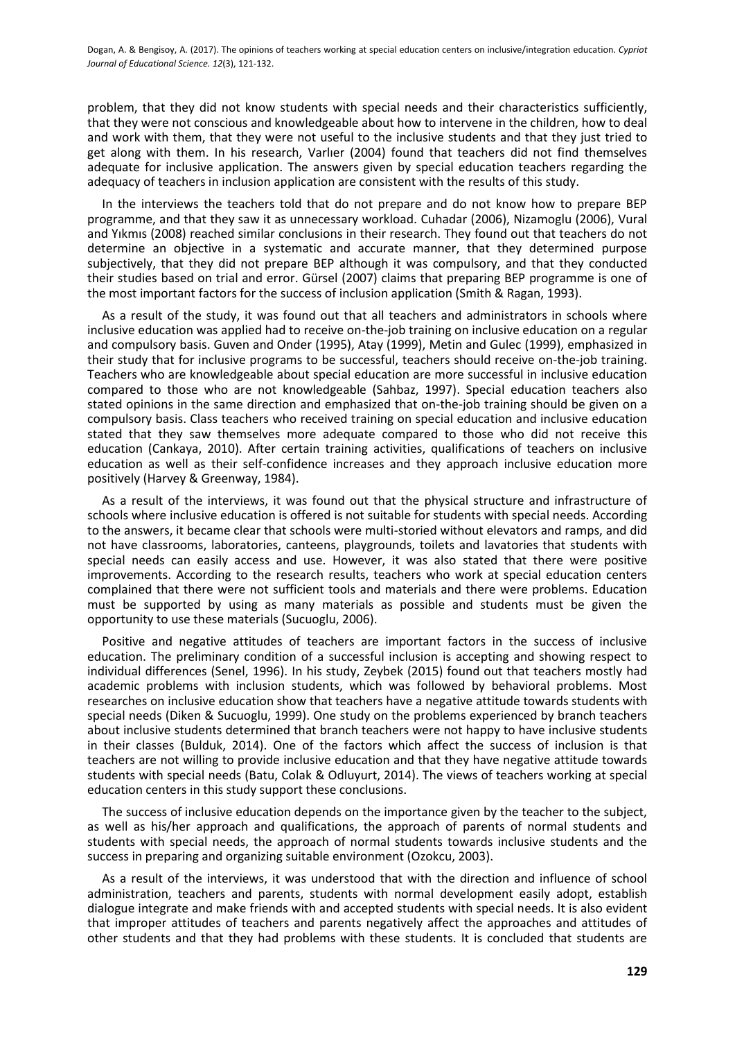problem, that they did not know students with special needs and their characteristics sufficiently, that they were not conscious and knowledgeable about how to intervene in the children, how to deal and work with them, that they were not useful to the inclusive students and that they just tried to get along with them. In his research, Varlıer (2004) found that teachers did not find themselves adequate for inclusive application. The answers given by special education teachers regarding the adequacy of teachers in inclusion application are consistent with the results of this study.

In the interviews the teachers told that do not prepare and do not know how to prepare BEP programme, and that they saw it as unnecessary workload. Cuhadar (2006), Nizamoglu (2006), Vural and Yıkmıs (2008) reached similar conclusions in their research. They found out that teachers do not determine an objective in a systematic and accurate manner, that they determined purpose subjectively, that they did not prepare BEP although it was compulsory, and that they conducted their studies based on trial and error. Gürsel (2007) claims that preparing BEP programme is one of the most important factors for the success of inclusion application (Smith & Ragan, 1993).

As a result of the study, it was found out that all teachers and administrators in schools where inclusive education was applied had to receive on-the-job training on inclusive education on a regular and compulsory basis. Guven and Onder (1995), Atay (1999), Metin and Gulec (1999), emphasized in their study that for inclusive programs to be successful, teachers should receive on-the-job training. Teachers who are knowledgeable about special education are more successful in inclusive education compared to those who are not knowledgeable (Sahbaz, 1997). Special education teachers also stated opinions in the same direction and emphasized that on-the-job training should be given on a compulsory basis. Class teachers who received training on special education and inclusive education stated that they saw themselves more adequate compared to those who did not receive this education (Cankaya, 2010). After certain training activities, qualifications of teachers on inclusive education as well as their self-confidence increases and they approach inclusive education more positively (Harvey & Greenway, 1984).

As a result of the interviews, it was found out that the physical structure and infrastructure of schools where inclusive education is offered is not suitable for students with special needs. According to the answers, it became clear that schools were multi-storied without elevators and ramps, and did not have classrooms, laboratories, canteens, playgrounds, toilets and lavatories that students with special needs can easily access and use. However, it was also stated that there were positive improvements. According to the research results, teachers who work at special education centers complained that there were not sufficient tools and materials and there were problems. Education must be supported by using as many materials as possible and students must be given the opportunity to use these materials (Sucuoglu, 2006).

Positive and negative attitudes of teachers are important factors in the success of inclusive education. The preliminary condition of a successful inclusion is accepting and showing respect to individual differences (Senel, 1996). In his study, Zeybek (2015) found out that teachers mostly had academic problems with inclusion students, which was followed by behavioral problems. Most researches on inclusive education show that teachers have a negative attitude towards students with special needs (Diken & Sucuoglu, 1999). One study on the problems experienced by branch teachers about inclusive students determined that branch teachers were not happy to have inclusive students in their classes (Bulduk, 2014). One of the factors which affect the success of inclusion is that teachers are not willing to provide inclusive education and that they have negative attitude towards students with special needs (Batu, Colak & Odluyurt, 2014). The views of teachers working at special education centers in this study support these conclusions.

The success of inclusive education depends on the importance given by the teacher to the subject, as well as his/her approach and qualifications, the approach of parents of normal students and students with special needs, the approach of normal students towards inclusive students and the success in preparing and organizing suitable environment (Ozokcu, 2003).

As a result of the interviews, it was understood that with the direction and influence of school administration, teachers and parents, students with normal development easily adopt, establish dialogue integrate and make friends with and accepted students with special needs. It is also evident that improper attitudes of teachers and parents negatively affect the approaches and attitudes of other students and that they had problems with these students. It is concluded that students are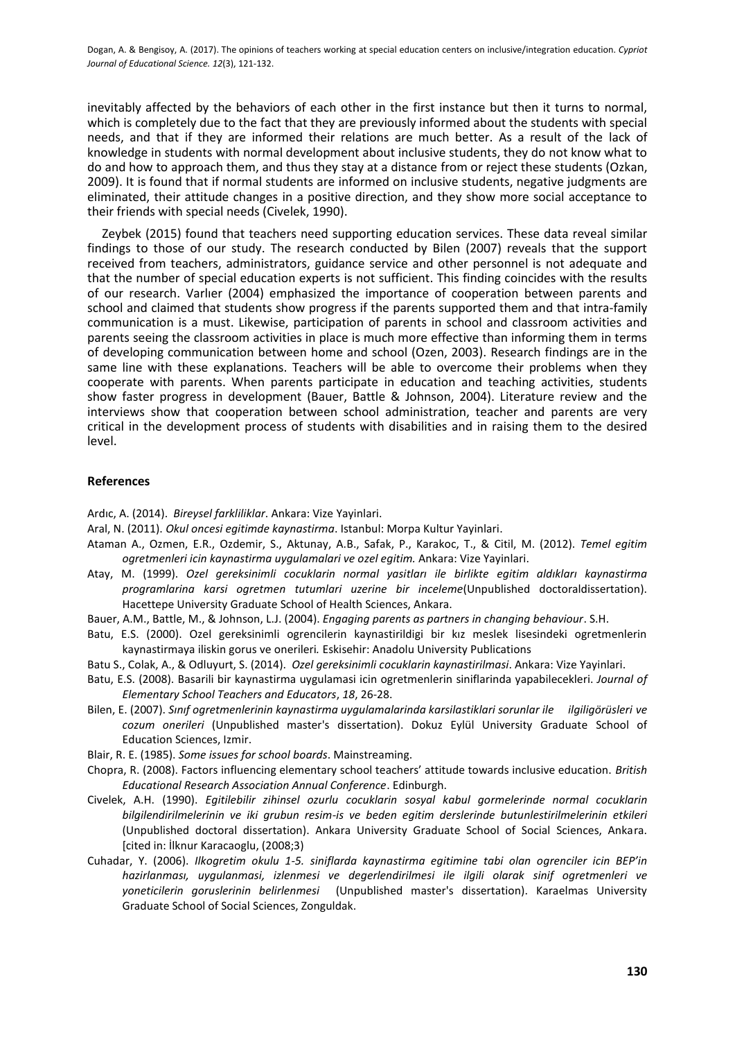inevitably affected by the behaviors of each other in the first instance but then it turns to normal, which is completely due to the fact that they are previously informed about the students with special needs, and that if they are informed their relations are much better. As a result of the lack of knowledge in students with normal development about inclusive students, they do not know what to do and how to approach them, and thus they stay at a distance from or reject these students (Ozkan, 2009). It is found that if normal students are informed on inclusive students, negative judgments are eliminated, their attitude changes in a positive direction, and they show more social acceptance to their friends with special needs (Civelek, 1990).

Zeybek (2015) found that teachers need supporting education services. These data reveal similar findings to those of our study. The research conducted by Bilen (2007) reveals that the support received from teachers, administrators, guidance service and other personnel is not adequate and that the number of special education experts is not sufficient. This finding coincides with the results of our research. Varlıer (2004) emphasized the importance of cooperation between parents and school and claimed that students show progress if the parents supported them and that intra-family communication is a must. Likewise, participation of parents in school and classroom activities and parents seeing the classroom activities in place is much more effective than informing them in terms of developing communication between home and school (Ozen, 2003). Research findings are in the same line with these explanations. Teachers will be able to overcome their problems when they cooperate with parents. When parents participate in education and teaching activities, students show faster progress in development (Bauer, Battle & Johnson, 2004). Literature review and the interviews show that cooperation between school administration, teacher and parents are very critical in the development process of students with disabilities and in raising them to the desired level.

#### **References**

Ardıc, A. (2014). *Bireysel farkliliklar*. Ankara: Vize Yayinlari.

Aral, N. (2011). *Okul oncesi egitimde kaynastirma*. Istanbul: Morpa Kultur Yayinlari.

- Ataman A., Ozmen, E.R., Ozdemir, S., Aktunay, A.B., Safak, P., Karakoc, T., & Citil, M. (2012). *Temel egitim ogretmenleri icin kaynastirma uygulamalari ve ozel egitim.* Ankara: Vize Yayinlari.
- Atay, M. (1999). *Ozel gereksinimli cocuklarin normal yasitları ile birlikte egitim aldıkları kaynastirma programlarina karsi ogretmen tutumlari uzerine bir inceleme*(Unpublished doctoraldissertation). Hacettepe University Graduate School of Health Sciences, Ankara.
- Bauer, A.M., Battle, M., & Johnson, L.J. (2004). *Engaging parents as partners in changing behaviour*. S.H.
- Batu, E.S. (2000). Ozel gereksinimli ogrencilerin kaynastirildigi bir kız meslek lisesindeki ogretmenlerin kaynastirmaya iliskin gorus ve onerileri*.* Eskisehir: Anadolu University Publications
- Batu S., Colak, A., & Odluyurt, S. (2014). *Ozel gereksinimli cocuklarin kaynastirilmasi*. Ankara: Vize Yayinlari.
- Batu, E.S. (2008). Basarili bir kaynastirma uygulamasi icin ogretmenlerin siniflarinda yapabilecekleri. *Journal of Elementary School Teachers and Educators*, *18*, 26-28.
- Bilen, E. (2007). *Sınıf ogretmenlerinin kaynastirma uygulamalarinda karsilastiklari sorunlar ile ilgiligörüsleri ve cozum onerileri* (Unpublished master's dissertation). Dokuz Eylül University Graduate School of Education Sciences, Izmir.
- Blair, R. E. (1985). *Some issues for school boards*. Mainstreaming.
- Chopra, R. (2008). Factors influencing elementary school teachers' attitude towards inclusive education. *British Educational Research Association Annual Conference*. Edinburgh.
- Civelek, A.H. (1990). *Egitilebilir zihinsel ozurlu cocuklarin sosyal kabul gormelerinde normal cocuklarin bilgilendirilmelerinin ve iki grubun resim-is ve beden egitim derslerinde butunlestirilmelerinin etkileri*  (Unpublished doctoral dissertation). Ankara University Graduate School of Social Sciences, Ankara. \*cited in: İlknur Karacaoglu, (2008;3)
- Cuhadar, Y. (2006). *Ilkogretim okulu 1-5. siniflarda kaynastirma egitimine tabi olan ogrenciler icin BEP'in hazirlanması, uygulanmasi, izlenmesi ve degerlendirilmesi ile ilgili olarak sinif ogretmenleri ve yoneticilerin goruslerinin belirlenmesi* (Unpublished master's dissertation). Karaelmas University Graduate School of Social Sciences, Zonguldak.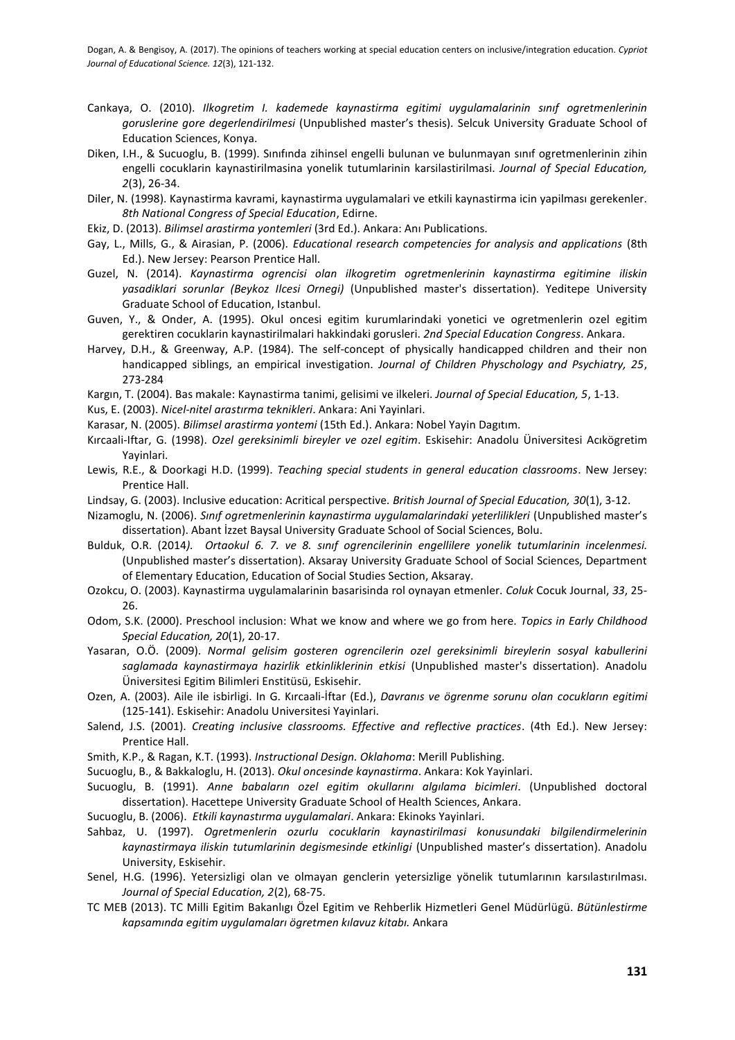- Cankaya, O. (2010). *Ilkogretim I. kademede kaynastirma egitimi uygulamalarinin sınıf ogretmenlerinin goruslerine gore degerlendirilmesi* (Unpublished master's thesis). Selcuk University Graduate School of Education Sciences, Konya.
- Diken, I.H., & Sucuoglu, B. (1999). Sınıfında zihinsel engelli bulunan ve bulunmayan sınıf ogretmenlerinin zihin engelli cocuklarin kaynastirilmasina yonelik tutumlarinin karsilastirilmasi. *Journal of Special Education, 2*(3), 26-34.
- Diler, N. (1998). Kaynastirma kavrami, kaynastirma uygulamalari ve etkili kaynastirma icin yapilması gerekenler. *8th National Congress of Special Education*, Edirne.
- Ekiz, D. (2013). *Bilimsel arastirma yontemleri* (3rd Ed.). Ankara: Anı Publications.
- Gay, L., Mills, G., & Airasian, P. (2006). *Educational research competencies for analysis and applications* (8th Ed.). New Jersey: Pearson Prentice Hall.
- Guzel, N. (2014). *Kaynastirma ogrencisi olan ilkogretim ogretmenlerinin kaynastirma egitimine iliskin yasadiklari sorunlar (Beykoz Ilcesi Ornegi)* (Unpublished master's dissertation). Yeditepe University Graduate School of Education, Istanbul.
- Guven, Y., & Onder, A. (1995). Okul oncesi egitim kurumlarindaki yonetici ve ogretmenlerin ozel egitim gerektiren cocuklarin kaynastirilmalari hakkindaki gorusleri. *2nd Special Education Congress*. Ankara.
- Harvey, D.H., & Greenway, A.P. (1984). The self-concept of physically handicapped children and their non handicapped siblings, an empirical investigation. *Journal of Children Physchology and Psychiatry, 25*, 273-284
- Kargın, T. (2004). Bas makale: Kaynastirma tanimi, gelisimi ve ilkeleri. *Journal of Special Education, 5*, 1-13.
- Kus, E. (2003). *Nicel-nitel arastırma teknikleri*. Ankara: Ani Yayinlari.
- Karasar, N. (2005). *Bilimsel arastirma yontemi* (15th Ed.). Ankara: Nobel Yayin Dagıtım.
- Kırcaali-Iftar, G. (1998). *Ozel gereksinimli bireyler ve ozel egitim*. Eskisehir: Anadolu Üniversitesi Acıkögretim Yayinlari.
- Lewis, R.E., & Doorkagi H.D. (1999). *Teaching special students in general education classrooms*. New Jersey: Prentice Hall.
- Lindsay, G. (2003). Inclusive education: Acritical perspective*. British Journal of Special Education, 30*(1), 3-12.
- Nizamoglu, N. (2006). *Sınıf ogretmenlerinin kaynastirma uygulamalarindaki yeterlilikleri* (Unpublished master's dissertation). Abant İzzet Baysal University Graduate School of Social Sciences, Bolu.
- Bulduk, O.R. (2014*). Ortaokul 6. 7. ve 8. sınıf ogrencilerinin engellilere yonelik tutumlarinin incelenmesi.*  (Unpublished master's dissertation). Aksaray University Graduate School of Social Sciences, Department of Elementary Education, Education of Social Studies Section, Aksaray.
- Ozokcu, O. (2003). Kaynastirma uygulamalarinin basarisinda rol oynayan etmenler. *Coluk* Cocuk Journal, *33*, 25- 26.
- Odom, S.K. (2000). Preschool inclusion: What we know and where we go from here. *Topics in Early Childhood Special Education, 20*(1), 20-17.
- Yasaran, O.Ö. (2009). *Normal gelisim gosteren ogrencilerin ozel gereksinimli bireylerin sosyal kabullerini saglamada kaynastirmaya hazirlik etkinliklerinin etkisi* (Unpublished master's dissertation). Anadolu Üniversitesi Egitim Bilimleri Enstitüsü, Eskisehir.
- Ozen, A. (2003). Aile ile isbirligi. In G. Kırcaali-İftar (Ed.), *Davranıs ve ögrenme sorunu olan cocukların egitimi* (125-141). Eskisehir: Anadolu Universitesi Yayinlari.
- Salend, J.S. (2001). *Creating inclusive classrooms. Effective and reflective practices*. (4th Ed.). New Jersey: Prentice Hall.
- Smith, K.P., & Ragan, K.T. (1993). *Instructional Design. Oklahoma*: Merill Publishing.
- Sucuoglu, B., & Bakkaloglu, H. (2013). *Okul oncesinde kaynastirma*. Ankara: Kok Yayinlari.
- Sucuoglu, B. (1991). *Anne babaların ozel egitim okullarını algılama bicimleri*. (Unpublished doctoral dissertation). Hacettepe University Graduate School of Health Sciences, Ankara.
- Sucuoglu, B. (2006). *Etkili kaynastırma uygulamalari*. Ankara: Ekinoks Yayinlari.
- Sahbaz, U. (1997). *Ogretmenlerin ozurlu cocuklarin kaynastirilmasi konusundaki bilgilendirmelerinin kaynastirmaya iliskin tutumlarinin degismesinde etkinligi* (Unpublished master's dissertation). Anadolu University, Eskisehir.
- Senel, H.G. (1996). Yetersizligi olan ve olmayan genclerin yetersizlige yönelik tutumlarının karsılastırılması. *Journal of Special Education, 2*(2), 68-75.
- TC MEB (2013). TC Milli Egitim Bakanlıgı Özel Egitim ve Rehberlik Hizmetleri Genel Müdürlügü. *Bütünlestirme kapsamında egitim uygulamaları ögretmen kılavuz kitabı.* Ankara